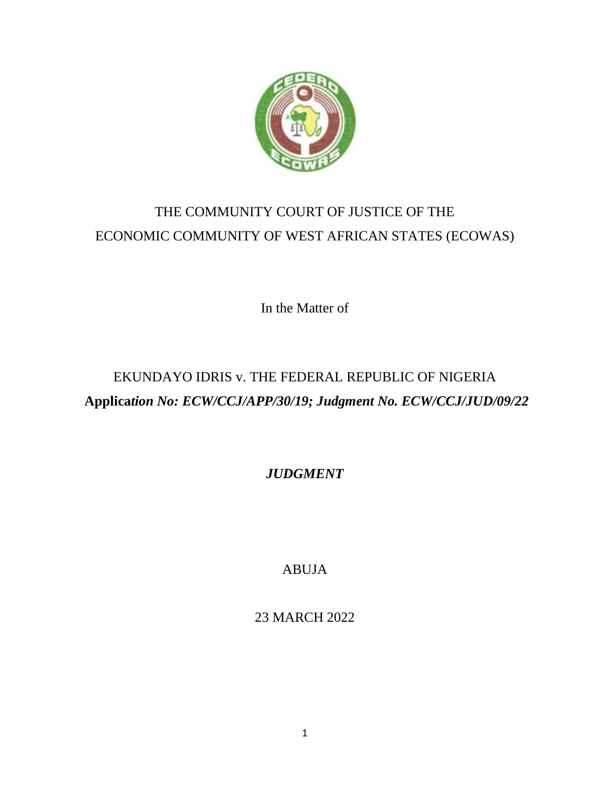

# THE COMMUNITY COURT OF JUSTICE OF THE ECONOMIC COMMUNITY OF WEST AFRICAN STATES (ECOWAS)

In the Matter of

# EKUNDAYO IDRIS v. THE FEDERAL REPUBLIC OF NIGERIA **Applica***tion No: ECW/CCJ/APP/30/19; Judgment No. ECW/CCJ/JUD/09/22*

*JUDGMENT*

ABUJA

23 MARCH 2022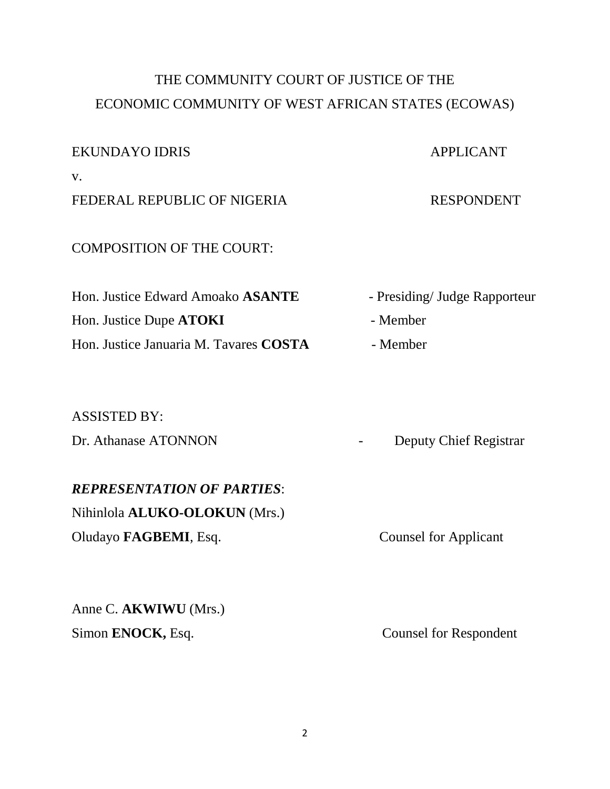# THE COMMUNITY COURT OF JUSTICE OF THE ECONOMIC COMMUNITY OF WEST AFRICAN STATES (ECOWAS)

## EKUNDAYO IDRIS APPLICANT

v.

FEDERAL REPUBLIC OF NIGERIA RESPONDENT

### COMPOSITION OF THE COURT:

Hon. Justice Edward Amoako **ASANTE** - Presiding/ Judge Rapporteur Hon. Justice Dupe **ATOKI** - Member Hon. Justice Januaria M. Tavares **COSTA** - Member

### ASSISTED BY:

## *REPRESENTATION OF PARTIES*:

Nihinlola **ALUKO-OLOKUN** (Mrs.) Oludayo **FAGBEMI**, Esq. Counsel for Applicant

Anne C. **AKWIWU** (Mrs.) Simon **ENOCK**, Esq. Counsel for Respondent

- 
- 

Dr. Athanase ATONNON - Deputy Chief Registrar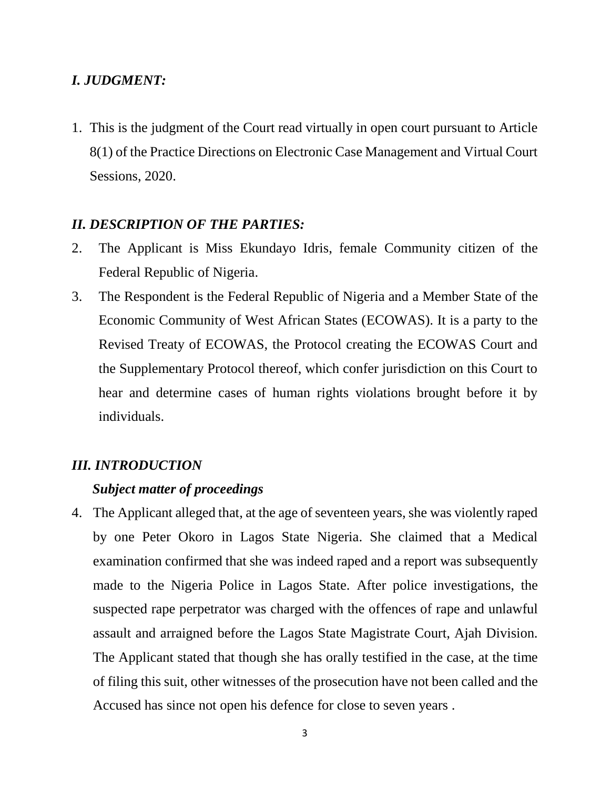### *I. JUDGMENT:*

1. This is the judgment of the Court read virtually in open court pursuant to Article 8(1) of the Practice Directions on Electronic Case Management and Virtual Court Sessions, 2020.

#### *II. DESCRIPTION OF THE PARTIES:*

- 2. The Applicant is Miss Ekundayo Idris, female Community citizen of the Federal Republic of Nigeria.
- 3. The Respondent is the Federal Republic of Nigeria and a Member State of the Economic Community of West African States (ECOWAS). It is a party to the Revised Treaty of ECOWAS, the Protocol creating the ECOWAS Court and the Supplementary Protocol thereof, which confer jurisdiction on this Court to hear and determine cases of human rights violations brought before it by individuals.

## *III. INTRODUCTION*

## *Subject matter of proceedings*

4. The Applicant alleged that, at the age of seventeen years, she was violently raped by one Peter Okoro in Lagos State Nigeria. She claimed that a Medical examination confirmed that she was indeed raped and a report was subsequently made to the Nigeria Police in Lagos State. After police investigations, the suspected rape perpetrator was charged with the offences of rape and unlawful assault and arraigned before the Lagos State Magistrate Court, Ajah Division. The Applicant stated that though she has orally testified in the case, at the time of filing this suit, other witnesses of the prosecution have not been called and the Accused has since not open his defence for close to seven years .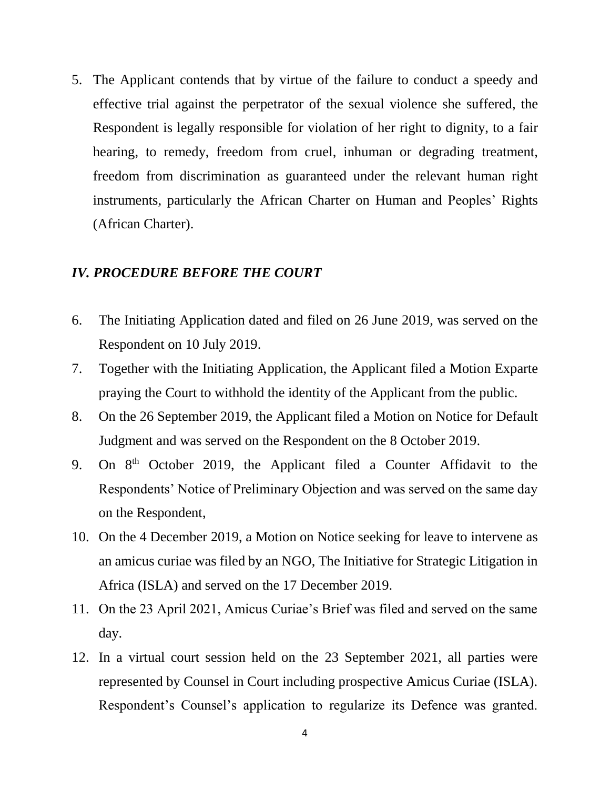5. The Applicant contends that by virtue of the failure to conduct a speedy and effective trial against the perpetrator of the sexual violence she suffered, the Respondent is legally responsible for violation of her right to dignity, to a fair hearing, to remedy, freedom from cruel, inhuman or degrading treatment, freedom from discrimination as guaranteed under the relevant human right instruments, particularly the African Charter on Human and Peoples' Rights (African Charter).

#### *IV. PROCEDURE BEFORE THE COURT*

- 6. The Initiating Application dated and filed on 26 June 2019, was served on the Respondent on 10 July 2019.
- 7. Together with the Initiating Application, the Applicant filed a Motion Exparte praying the Court to withhold the identity of the Applicant from the public.
- 8. On the 26 September 2019, the Applicant filed a Motion on Notice for Default Judgment and was served on the Respondent on the 8 October 2019.
- 9. On 8<sup>th</sup> October 2019, the Applicant filed a Counter Affidavit to the Respondents' Notice of Preliminary Objection and was served on the same day on the Respondent,
- 10. On the 4 December 2019, a Motion on Notice seeking for leave to intervene as an amicus curiae was filed by an NGO, The Initiative for Strategic Litigation in Africa (ISLA) and served on the 17 December 2019.
- 11. On the 23 April 2021, Amicus Curiae's Brief was filed and served on the same day.
- 12. In a virtual court session held on the 23 September 2021, all parties were represented by Counsel in Court including prospective Amicus Curiae (ISLA). Respondent's Counsel's application to regularize its Defence was granted.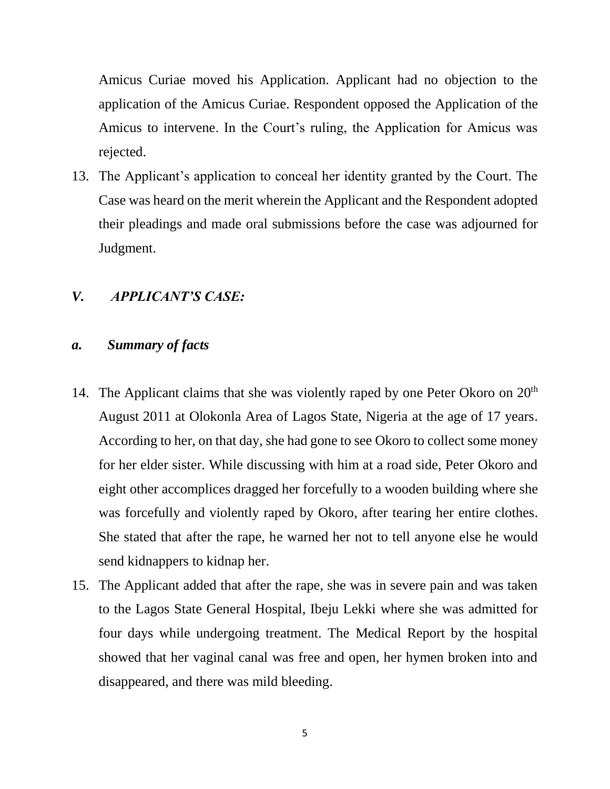Amicus Curiae moved his Application. Applicant had no objection to the application of the Amicus Curiae. Respondent opposed the Application of the Amicus to intervene. In the Court's ruling, the Application for Amicus was rejected.

13. The Applicant's application to conceal her identity granted by the Court. The Case was heard on the merit wherein the Applicant and the Respondent adopted their pleadings and made oral submissions before the case was adjourned for Judgment.

### *V. APPLICANT'S CASE:*

#### *a. Summary of facts*

- 14. The Applicant claims that she was violently raped by one Peter Okoro on 20<sup>th</sup> August 2011 at Olokonla Area of Lagos State, Nigeria at the age of 17 years. According to her, on that day, she had gone to see Okoro to collect some money for her elder sister. While discussing with him at a road side, Peter Okoro and eight other accomplices dragged her forcefully to a wooden building where she was forcefully and violently raped by Okoro, after tearing her entire clothes. She stated that after the rape, he warned her not to tell anyone else he would send kidnappers to kidnap her.
- 15. The Applicant added that after the rape, she was in severe pain and was taken to the Lagos State General Hospital, Ibeju Lekki where she was admitted for four days while undergoing treatment. The Medical Report by the hospital showed that her vaginal canal was free and open, her hymen broken into and disappeared, and there was mild bleeding.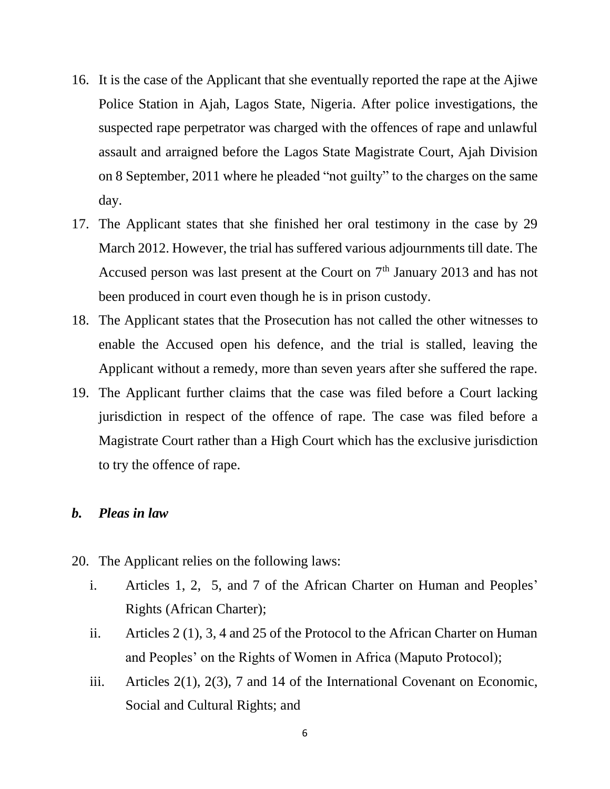- 16. It is the case of the Applicant that she eventually reported the rape at the Ajiwe Police Station in Ajah, Lagos State, Nigeria. After police investigations, the suspected rape perpetrator was charged with the offences of rape and unlawful assault and arraigned before the Lagos State Magistrate Court, Ajah Division on 8 September, 2011 where he pleaded "not guilty" to the charges on the same day.
- 17. The Applicant states that she finished her oral testimony in the case by 29 March 2012. However, the trial has suffered various adjournments till date. The Accused person was last present at the Court on  $7<sup>th</sup>$  January 2013 and has not been produced in court even though he is in prison custody.
- 18. The Applicant states that the Prosecution has not called the other witnesses to enable the Accused open his defence, and the trial is stalled, leaving the Applicant without a remedy, more than seven years after she suffered the rape.
- 19. The Applicant further claims that the case was filed before a Court lacking jurisdiction in respect of the offence of rape. The case was filed before a Magistrate Court rather than a High Court which has the exclusive jurisdiction to try the offence of rape.

#### *b. Pleas in law*

- 20. The Applicant relies on the following laws:
	- i. Articles 1, 2, 5, and 7 of the African Charter on Human and Peoples' Rights (African Charter);
	- ii. Articles 2 (1), 3, 4 and 25 of the Protocol to the African Charter on Human and Peoples' on the Rights of Women in Africa (Maputo Protocol);
	- iii. Articles 2(1), 2(3), 7 and 14 of the International Covenant on Economic, Social and Cultural Rights; and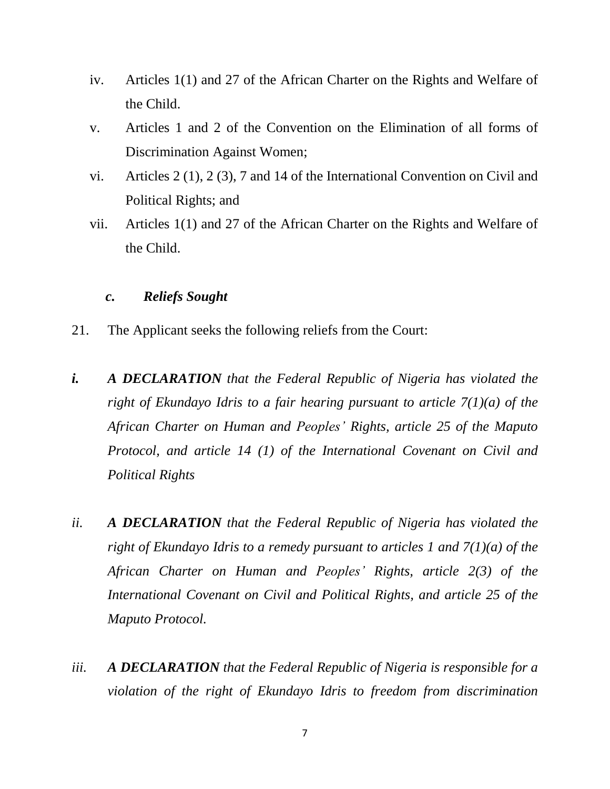- iv. Articles 1(1) and 27 of the African Charter on the Rights and Welfare of the Child.
- v. Articles 1 and 2 of the Convention on the Elimination of all forms of Discrimination Against Women;
- vi. Articles 2 (1), 2 (3), 7 and 14 of the International Convention on Civil and Political Rights; and
- vii. Articles 1(1) and 27 of the African Charter on the Rights and Welfare of the Child.

## *c. Reliefs Sought*

- 21. The Applicant seeks the following reliefs from the Court:
- *i. A DECLARATION that the Federal Republic of Nigeria has violated the right of Ekundayo Idris to a fair hearing pursuant to article 7(1)(a) of the African Charter on Human and Peoples' Rights, article 25 of the Maputo Protocol, and article 14 (1) of the International Covenant on Civil and Political Rights*
- *ii. A DECLARATION that the Federal Republic of Nigeria has violated the right of Ekundayo Idris to a remedy pursuant to articles 1 and 7(1)(a) of the African Charter on Human and Peoples' Rights, article 2(3) of the International Covenant on Civil and Political Rights, and article 25 of the Maputo Protocol.*
- *iii. A DECLARATION that the Federal Republic of Nigeria is responsible for a violation of the right of Ekundayo Idris to freedom from discrimination*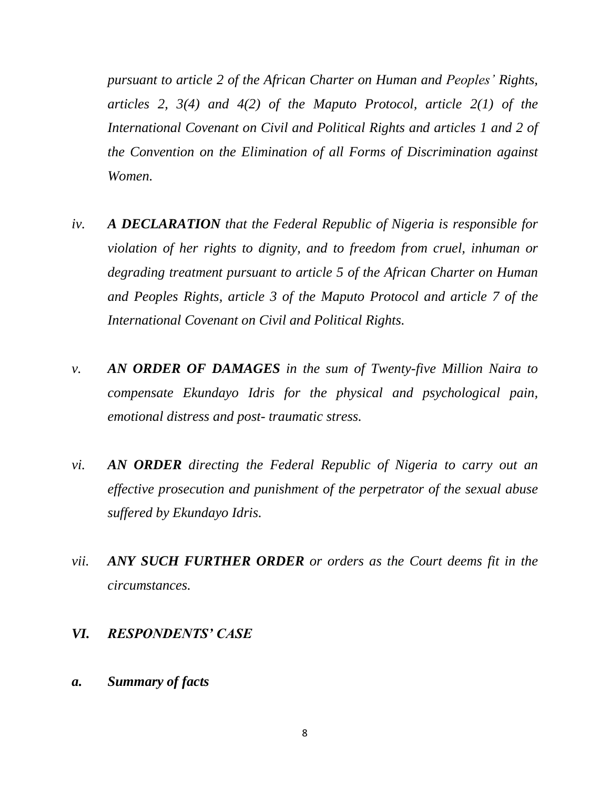*pursuant to article 2 of the African Charter on Human and Peoples' Rights, articles 2, 3(4) and 4(2) of the Maputo Protocol, article 2(1) of the International Covenant on Civil and Political Rights and articles 1 and 2 of the Convention on the Elimination of all Forms of Discrimination against Women.*

- *iv. A DECLARATION that the Federal Republic of Nigeria is responsible for violation of her rights to dignity, and to freedom from cruel, inhuman or degrading treatment pursuant to article 5 of the African Charter on Human and Peoples Rights, article 3 of the Maputo Protocol and article 7 of the International Covenant on Civil and Political Rights.*
- *v. AN ORDER OF DAMAGES in the sum of Twenty-five Million Naira to compensate Ekundayo Idris for the physical and psychological pain, emotional distress and post- traumatic stress.*
- *vi. AN ORDER directing the Federal Republic of Nigeria to carry out an effective prosecution and punishment of the perpetrator of the sexual abuse suffered by Ekundayo Idris.*
- *vii. ANY SUCH FURTHER ORDER or orders as the Court deems fit in the circumstances.*

#### *VI. RESPONDENTS' CASE*

*a. Summary of facts*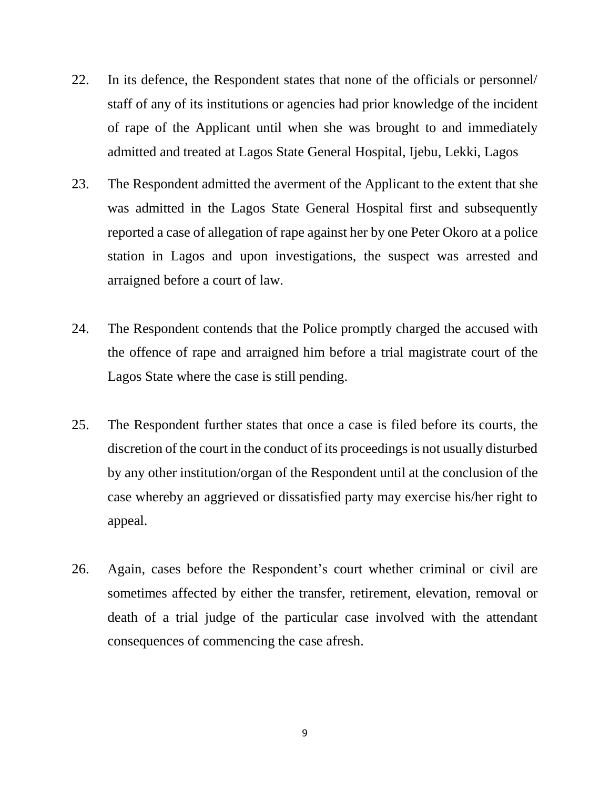- 22. In its defence, the Respondent states that none of the officials or personnel/ staff of any of its institutions or agencies had prior knowledge of the incident of rape of the Applicant until when she was brought to and immediately admitted and treated at Lagos State General Hospital, Ijebu, Lekki, Lagos
- 23. The Respondent admitted the averment of the Applicant to the extent that she was admitted in the Lagos State General Hospital first and subsequently reported a case of allegation of rape against her by one Peter Okoro at a police station in Lagos and upon investigations, the suspect was arrested and arraigned before a court of law.
- 24. The Respondent contends that the Police promptly charged the accused with the offence of rape and arraigned him before a trial magistrate court of the Lagos State where the case is still pending.
- 25. The Respondent further states that once a case is filed before its courts, the discretion of the court in the conduct of its proceedings is not usually disturbed by any other institution/organ of the Respondent until at the conclusion of the case whereby an aggrieved or dissatisfied party may exercise his/her right to appeal.
- 26. Again, cases before the Respondent's court whether criminal or civil are sometimes affected by either the transfer, retirement, elevation, removal or death of a trial judge of the particular case involved with the attendant consequences of commencing the case afresh.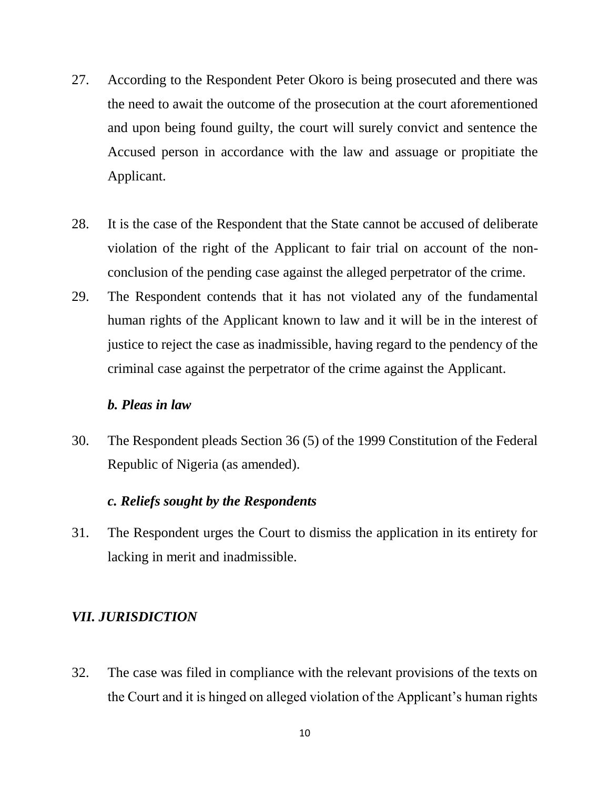- 27. According to the Respondent Peter Okoro is being prosecuted and there was the need to await the outcome of the prosecution at the court aforementioned and upon being found guilty, the court will surely convict and sentence the Accused person in accordance with the law and assuage or propitiate the Applicant.
- 28. It is the case of the Respondent that the State cannot be accused of deliberate violation of the right of the Applicant to fair trial on account of the nonconclusion of the pending case against the alleged perpetrator of the crime.
- 29. The Respondent contends that it has not violated any of the fundamental human rights of the Applicant known to law and it will be in the interest of justice to reject the case as inadmissible, having regard to the pendency of the criminal case against the perpetrator of the crime against the Applicant.

### *b. Pleas in law*

30. The Respondent pleads Section 36 (5) of the 1999 Constitution of the Federal Republic of Nigeria (as amended).

## *c. Reliefs sought by the Respondents*

31. The Respondent urges the Court to dismiss the application in its entirety for lacking in merit and inadmissible.

### *VII. JURISDICTION*

32. The case was filed in compliance with the relevant provisions of the texts on the Court and it is hinged on alleged violation of the Applicant's human rights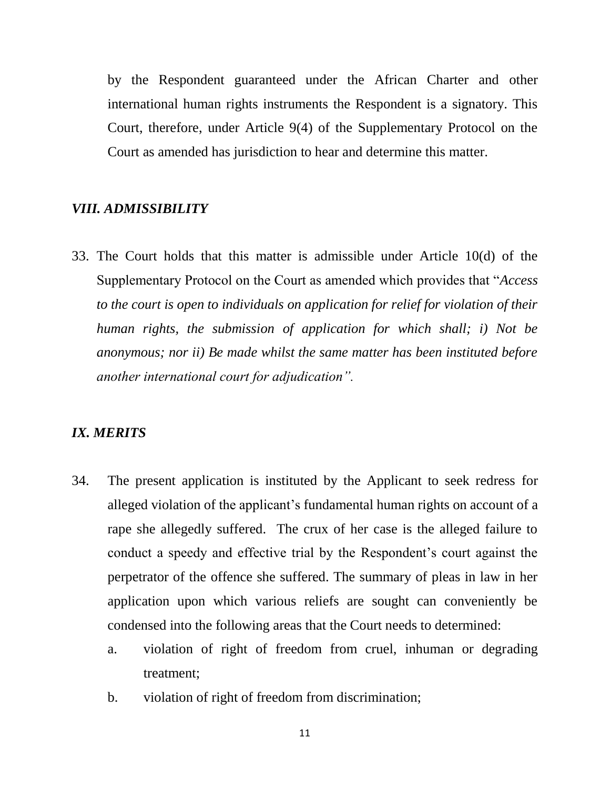by the Respondent guaranteed under the African Charter and other international human rights instruments the Respondent is a signatory. This Court, therefore, under Article 9(4) of the Supplementary Protocol on the Court as amended has jurisdiction to hear and determine this matter.

#### *VIII. ADMISSIBILITY*

33. The Court holds that this matter is admissible under Article 10(d) of the Supplementary Protocol on the Court as amended which provides that "*Access to the court is open to individuals on application for relief for violation of their human rights, the submission of application for which shall; i) Not be anonymous; nor ii) Be made whilst the same matter has been instituted before another international court for adjudication".*

#### *IX. MERITS*

- 34. The present application is instituted by the Applicant to seek redress for alleged violation of the applicant's fundamental human rights on account of a rape she allegedly suffered. The crux of her case is the alleged failure to conduct a speedy and effective trial by the Respondent's court against the perpetrator of the offence she suffered. The summary of pleas in law in her application upon which various reliefs are sought can conveniently be condensed into the following areas that the Court needs to determined:
	- a. violation of right of freedom from cruel, inhuman or degrading treatment;
	- b. violation of right of freedom from discrimination;

11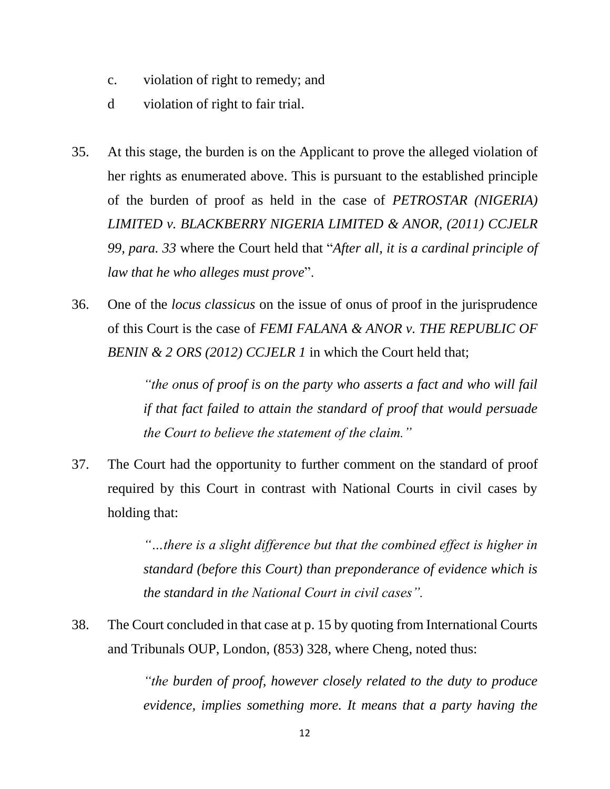- c. violation of right to remedy; and
- d violation of right to fair trial.
- 35. At this stage, the burden is on the Applicant to prove the alleged violation of her rights as enumerated above. This is pursuant to the established principle of the burden of proof as held in the case of *PETROSTAR (NIGERIA) LIMITED v. BLACKBERRY NIGERIA LIMITED & ANOR, (2011) CCJELR 99, para. 33* where the Court held that "*After all, it is a cardinal principle of law that he who alleges must prove*".
- 36. One of the *locus classicus* on the issue of onus of proof in the jurisprudence of this Court is the case of *FEMI FALANA & ANOR v. THE REPUBLIC OF BENIN & 2 ORS (2012) CCJELR 1* in which the Court held that;

*"the onus of proof is on the party who asserts a fact and who will fail if that fact failed to attain the standard of proof that would persuade the Court to believe the statement of the claim."*

37. The Court had the opportunity to further comment on the standard of proof required by this Court in contrast with National Courts in civil cases by holding that:

> *"…there is a slight difference but that the combined effect is higher in standard (before this Court) than preponderance of evidence which is the standard in the National Court in civil cases".*

38. The Court concluded in that case at p. 15 by quoting from International Courts and Tribunals OUP, London, (853) 328, where Cheng, noted thus:

> *"the burden of proof, however closely related to the duty to produce evidence, implies something more. It means that a party having the*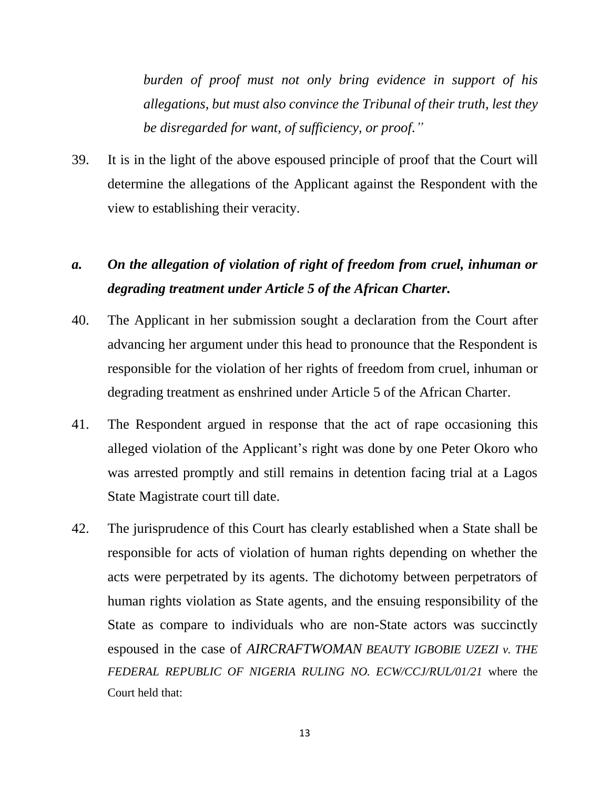*burden of proof must not only bring evidence in support of his allegations, but must also convince the Tribunal of their truth, lest they be disregarded for want, of sufficiency, or proof."*

39. It is in the light of the above espoused principle of proof that the Court will determine the allegations of the Applicant against the Respondent with the view to establishing their veracity.

# *a. On the allegation of violation of right of freedom from cruel, inhuman or degrading treatment under Article 5 of the African Charter.*

- 40. The Applicant in her submission sought a declaration from the Court after advancing her argument under this head to pronounce that the Respondent is responsible for the violation of her rights of freedom from cruel, inhuman or degrading treatment as enshrined under Article 5 of the African Charter.
- 41. The Respondent argued in response that the act of rape occasioning this alleged violation of the Applicant's right was done by one Peter Okoro who was arrested promptly and still remains in detention facing trial at a Lagos State Magistrate court till date.
- 42. The jurisprudence of this Court has clearly established when a State shall be responsible for acts of violation of human rights depending on whether the acts were perpetrated by its agents. The dichotomy between perpetrators of human rights violation as State agents, and the ensuing responsibility of the State as compare to individuals who are non-State actors was succinctly espoused in the case of *AIRCRAFTWOMAN BEAUTY IGBOBIE UZEZI v. THE FEDERAL REPUBLIC OF NIGERIA RULING NO. ECW/CCJ/RUL/01/21* where the Court held that: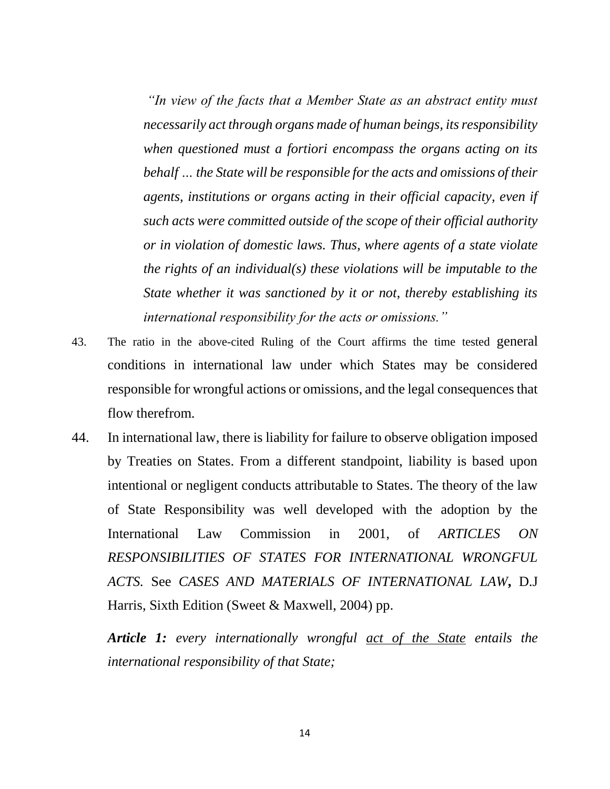*"In view of the facts that a Member State as an abstract entity must necessarily act through organs made of human beings, its responsibility when questioned must a fortiori encompass the organs acting on its behalf … the State will be responsible for the acts and omissions of their agents, institutions or organs acting in their official capacity, even if such acts were committed outside of the scope of their official authority or in violation of domestic laws. Thus, where agents of a state violate the rights of an individual(s) these violations will be imputable to the State whether it was sanctioned by it or not, thereby establishing its international responsibility for the acts or omissions."*

- 43. The ratio in the above-cited Ruling of the Court affirms the time tested general conditions in international law under which States may be considered responsible for wrongful actions or omissions, and the legal consequences that flow therefrom.
- 44. In international law, there is liability for failure to observe obligation imposed by Treaties on States. From a different standpoint, liability is based upon intentional or negligent conducts attributable to States. The theory of the law of State Responsibility was well developed with the adoption by the International Law Commission in 2001, of *ARTICLES ON RESPONSIBILITIES OF STATES FOR INTERNATIONAL WRONGFUL ACTS.* See *CASES AND MATERIALS OF INTERNATIONAL LAW***,** D.J Harris, Sixth Edition (Sweet & Maxwell, 2004) pp.

*Article 1: every internationally wrongful act of the State entails the international responsibility of that State;*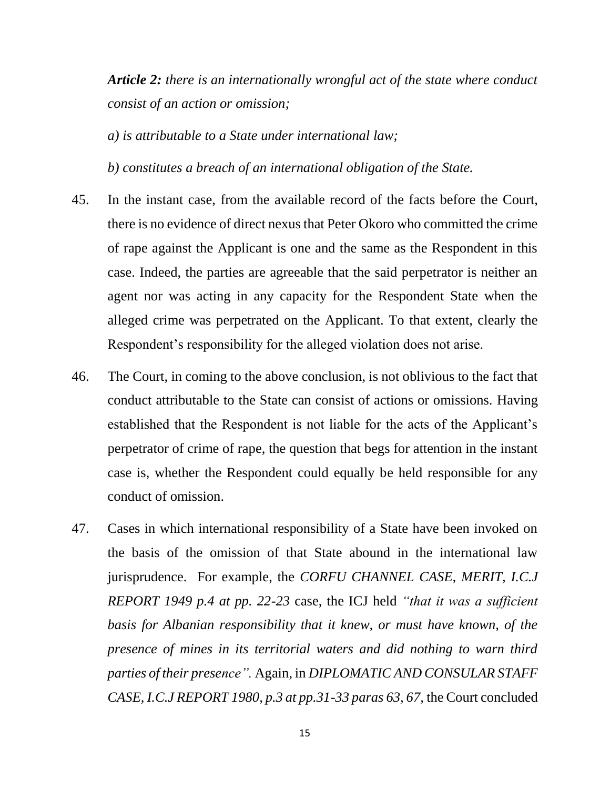*Article 2: there is an internationally wrongful act of the state where conduct consist of an action or omission;* 

*a) is attributable to a State under international law;*

*b) constitutes a breach of an international obligation of the State.* 

- 45. In the instant case, from the available record of the facts before the Court, there is no evidence of direct nexus that Peter Okoro who committed the crime of rape against the Applicant is one and the same as the Respondent in this case. Indeed, the parties are agreeable that the said perpetrator is neither an agent nor was acting in any capacity for the Respondent State when the alleged crime was perpetrated on the Applicant. To that extent, clearly the Respondent's responsibility for the alleged violation does not arise.
- 46. The Court, in coming to the above conclusion, is not oblivious to the fact that conduct attributable to the State can consist of actions or omissions. Having established that the Respondent is not liable for the acts of the Applicant's perpetrator of crime of rape, the question that begs for attention in the instant case is, whether the Respondent could equally be held responsible for any conduct of omission.
- 47. Cases in which international responsibility of a State have been invoked on the basis of the omission of that State abound in the international law jurisprudence. For example, the *CORFU CHANNEL CASE, MERIT, I.C.J REPORT 1949 p.4 at pp. 22-23* case, the ICJ held *"that it was a sufficient basis for Albanian responsibility that it knew, or must have known, of the presence of mines in its territorial waters and did nothing to warn third parties of their presence".* Again, in *DIPLOMATIC AND CONSULAR STAFF CASE, I.C.J REPORT 1980, p.3 at pp.31-33 paras 63, 67,* the Court concluded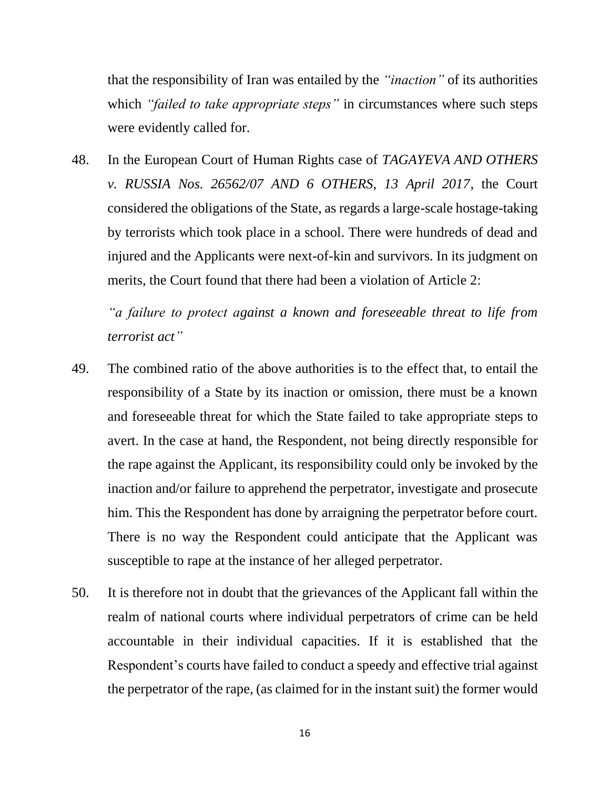that the responsibility of Iran was entailed by the *"inaction"* of its authorities which *"failed to take appropriate steps"* in circumstances where such steps were evidently called for.

48. In the European Court of Human Rights case of *TAGAYEVA AND OTHERS v. RUSSIA Nos. 26562/07 AND 6 OTHERS, 13 April 2017*, the Court considered the obligations of the State, as regards a large-scale hostage-taking by terrorists which took place in a school. There were hundreds of dead and injured and the Applicants were next-of-kin and survivors. In its judgment on merits, the Court found that there had been a violation of Article 2:

*"a failure to protect against a known and foreseeable threat to life from terrorist act"*

- 49. The combined ratio of the above authorities is to the effect that, to entail the responsibility of a State by its inaction or omission, there must be a known and foreseeable threat for which the State failed to take appropriate steps to avert. In the case at hand, the Respondent, not being directly responsible for the rape against the Applicant, its responsibility could only be invoked by the inaction and/or failure to apprehend the perpetrator, investigate and prosecute him. This the Respondent has done by arraigning the perpetrator before court. There is no way the Respondent could anticipate that the Applicant was susceptible to rape at the instance of her alleged perpetrator.
- 50. It is therefore not in doubt that the grievances of the Applicant fall within the realm of national courts where individual perpetrators of crime can be held accountable in their individual capacities. If it is established that the Respondent's courts have failed to conduct a speedy and effective trial against the perpetrator of the rape, (as claimed for in the instant suit) the former would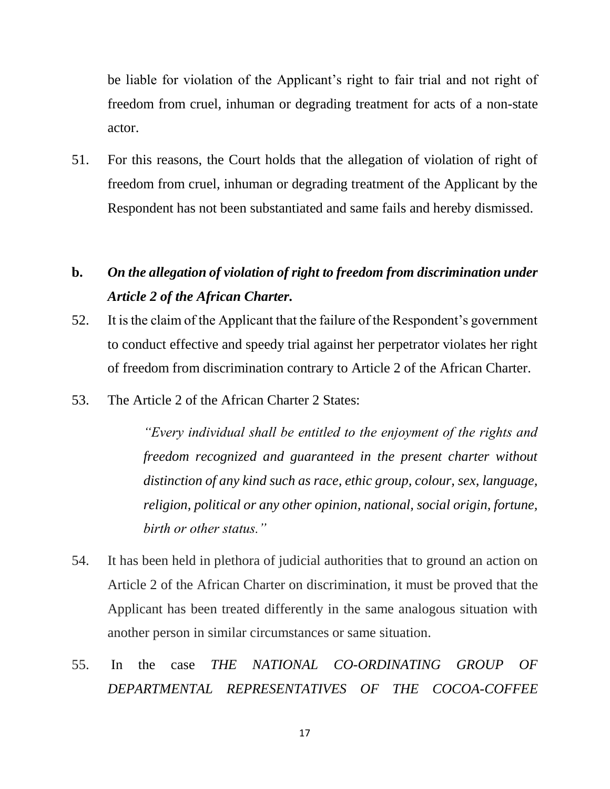be liable for violation of the Applicant's right to fair trial and not right of freedom from cruel, inhuman or degrading treatment for acts of a non-state actor.

51. For this reasons, the Court holds that the allegation of violation of right of freedom from cruel, inhuman or degrading treatment of the Applicant by the Respondent has not been substantiated and same fails and hereby dismissed.

# **b.** *On the allegation of violation of right to freedom from discrimination under Article 2 of the African Charter.*

- 52. It is the claim of the Applicant that the failure of the Respondent's government to conduct effective and speedy trial against her perpetrator violates her right of freedom from discrimination contrary to Article 2 of the African Charter.
- 53. The Article 2 of the African Charter 2 States:

*"Every individual shall be entitled to the enjoyment of the rights and freedom recognized and guaranteed in the present charter without distinction of any kind such as race, ethic group, colour, sex, language, religion, political or any other opinion, national, social origin, fortune, birth or other status."*

- 54. It has been held in plethora of judicial authorities that to ground an action on Article 2 of the African Charter on discrimination, it must be proved that the Applicant has been treated differently in the same analogous situation with another person in similar circumstances or same situation.
- 55. In the case *THE NATIONAL CO-ORDINATING GROUP OF DEPARTMENTAL REPRESENTATIVES OF THE COCOA-COFFEE*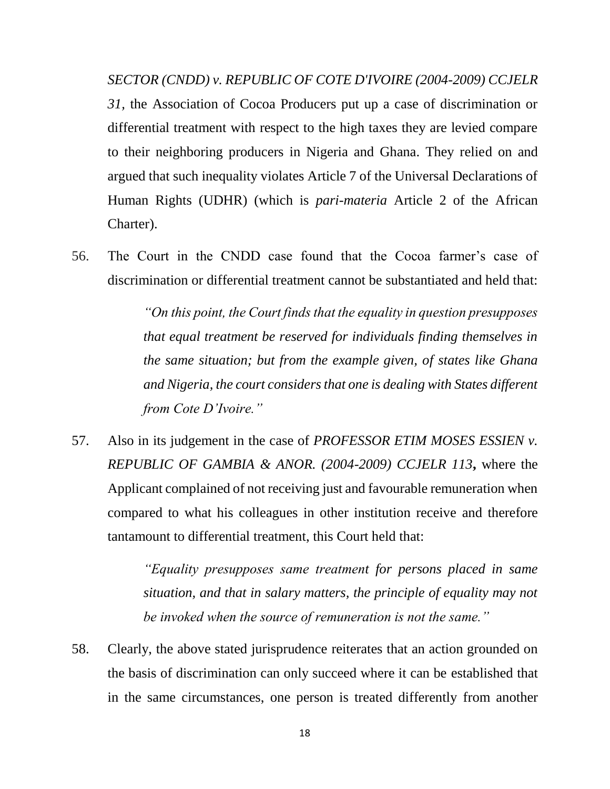*SECTOR (CNDD) v. REPUBLIC OF COTE D'IVOIRE (2004-2009) CCJELR 31,* the Association of Cocoa Producers put up a case of discrimination or differential treatment with respect to the high taxes they are levied compare to their neighboring producers in Nigeria and Ghana. They relied on and argued that such inequality violates Article 7 of the Universal Declarations of Human Rights (UDHR) (which is *pari-materia* Article 2 of the African Charter).

56. The Court in the CNDD case found that the Cocoa farmer's case of discrimination or differential treatment cannot be substantiated and held that:

> *"On this point, the Court finds that the equality in question presupposes that equal treatment be reserved for individuals finding themselves in the same situation; but from the example given, of states like Ghana and Nigeria, the court considers that one is dealing with States different from Cote D'Ivoire."*

57. Also in its judgement in the case of *PROFESSOR ETIM MOSES ESSIEN v. REPUBLIC OF GAMBIA & ANOR. (2004-2009) CCJELR 113***,** where the Applicant complained of not receiving just and favourable remuneration when compared to what his colleagues in other institution receive and therefore tantamount to differential treatment, this Court held that:

> *"Equality presupposes same treatment for persons placed in same situation, and that in salary matters, the principle of equality may not be invoked when the source of remuneration is not the same."*

58. Clearly, the above stated jurisprudence reiterates that an action grounded on the basis of discrimination can only succeed where it can be established that in the same circumstances, one person is treated differently from another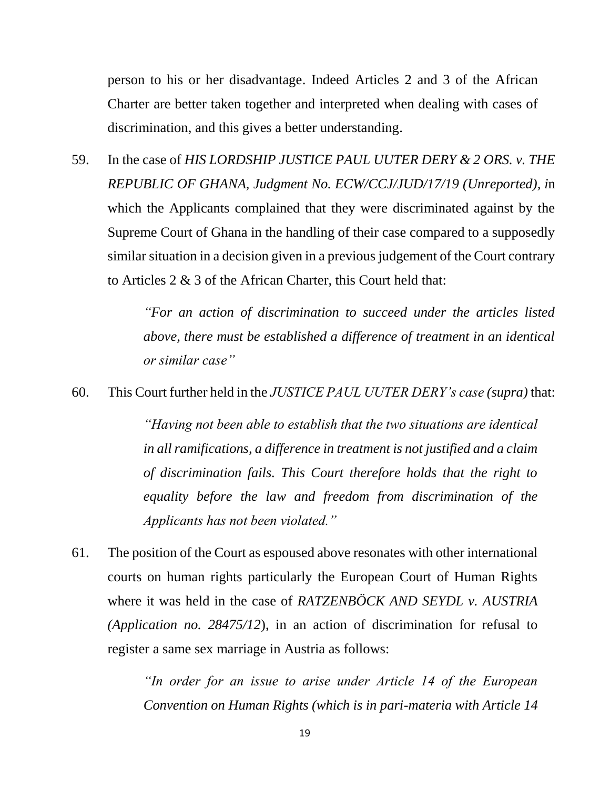person to his or her disadvantage. Indeed Articles 2 and 3 of the African Charter are better taken together and interpreted when dealing with cases of discrimination, and this gives a better understanding.

59. In the case of *HIS LORDSHIP JUSTICE PAUL UUTER DERY & 2 ORS. v. THE REPUBLIC OF GHANA, Judgment No. ECW/CCJ/JUD/17/19 (Unreported), i*n which the Applicants complained that they were discriminated against by the Supreme Court of Ghana in the handling of their case compared to a supposedly similar situation in a decision given in a previous judgement of the Court contrary to Articles 2 & 3 of the African Charter, this Court held that:

> *"For an action of discrimination to succeed under the articles listed above, there must be established a difference of treatment in an identical or similar case"*

60. This Court further held in the *JUSTICE PAUL UUTER DERY's case (supra)* that:

*"Having not been able to establish that the two situations are identical in all ramifications, a difference in treatment is not justified and a claim of discrimination fails. This Court therefore holds that the right to equality before the law and freedom from discrimination of the Applicants has not been violated."*

61. The position of the Court as espoused above resonates with other international courts on human rights particularly the European Court of Human Rights where it was held in the case of *RATZENBÖCK AND SEYDL v. AUSTRIA (Application no. 28475/12*), in an action of discrimination for refusal to register a same sex marriage in Austria as follows:

> *"In order for an issue to arise under Article 14 of the European Convention on Human Rights (which is in pari-materia with Article 14*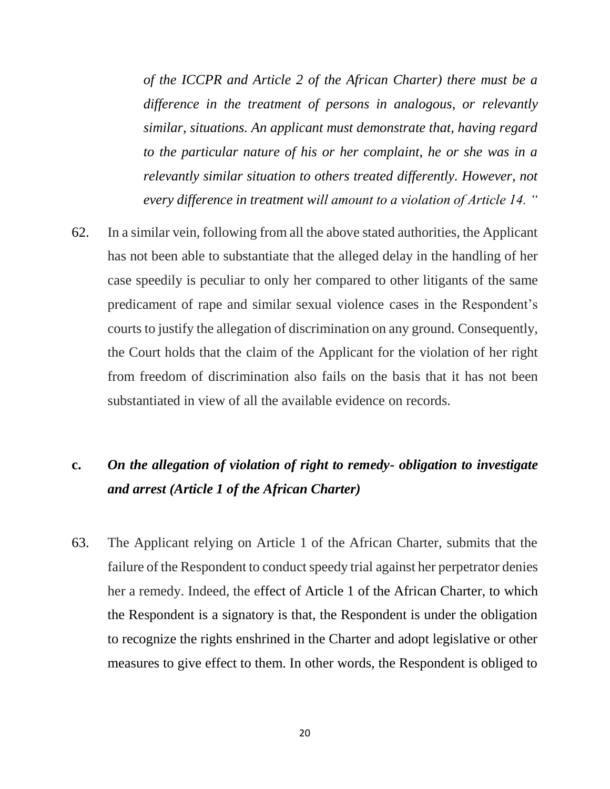*of the ICCPR and Article 2 of the African Charter) there must be a difference in the treatment of persons in analogous, or relevantly similar, situations. An applicant must demonstrate that, having regard to the particular nature of his or her complaint, he or she was in a relevantly similar situation to others treated differently. However, not every difference in treatment will amount to a violation of Article 14. "*

62. In a similar vein, following from all the above stated authorities, the Applicant has not been able to substantiate that the alleged delay in the handling of her case speedily is peculiar to only her compared to other litigants of the same predicament of rape and similar sexual violence cases in the Respondent's courts to justify the allegation of discrimination on any ground. Consequently, the Court holds that the claim of the Applicant for the violation of her right from freedom of discrimination also fails on the basis that it has not been substantiated in view of all the available evidence on records.

# **c.** *On the allegation of violation of right to remedy- obligation to investigate and arrest (Article 1 of the African Charter)*

63. The Applicant relying on Article 1 of the African Charter, submits that the failure of the Respondent to conduct speedy trial against her perpetrator denies her a remedy. Indeed, the effect of Article 1 of the African Charter, to which the Respondent is a signatory is that, the Respondent is under the obligation to recognize the rights enshrined in the Charter and adopt legislative or other measures to give effect to them. In other words, the Respondent is obliged to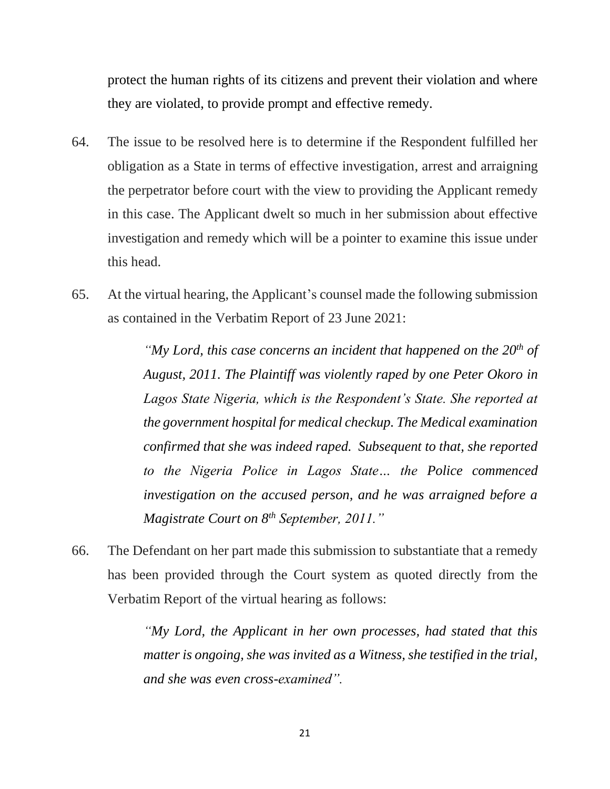protect the human rights of its citizens and prevent their violation and where they are violated, to provide prompt and effective remedy.

- 64. The issue to be resolved here is to determine if the Respondent fulfilled her obligation as a State in terms of effective investigation, arrest and arraigning the perpetrator before court with the view to providing the Applicant remedy in this case. The Applicant dwelt so much in her submission about effective investigation and remedy which will be a pointer to examine this issue under this head.
- 65. At the virtual hearing, the Applicant's counsel made the following submission as contained in the Verbatim Report of 23 June 2021:

*"My Lord, this case concerns an incident that happened on the 20th of August, 2011. The Plaintiff was violently raped by one Peter Okoro in Lagos State Nigeria, which is the Respondent's State. She reported at the government hospital for medical checkup. The Medical examination confirmed that she was indeed raped. Subsequent to that, she reported to the Nigeria Police in Lagos State… the Police commenced investigation on the accused person, and he was arraigned before a Magistrate Court on 8th September, 2011."*

66. The Defendant on her part made this submission to substantiate that a remedy has been provided through the Court system as quoted directly from the Verbatim Report of the virtual hearing as follows:

> *"My Lord, the Applicant in her own processes, had stated that this matter is ongoing, she was invited as a Witness, she testified in the trial, and she was even cross-examined".*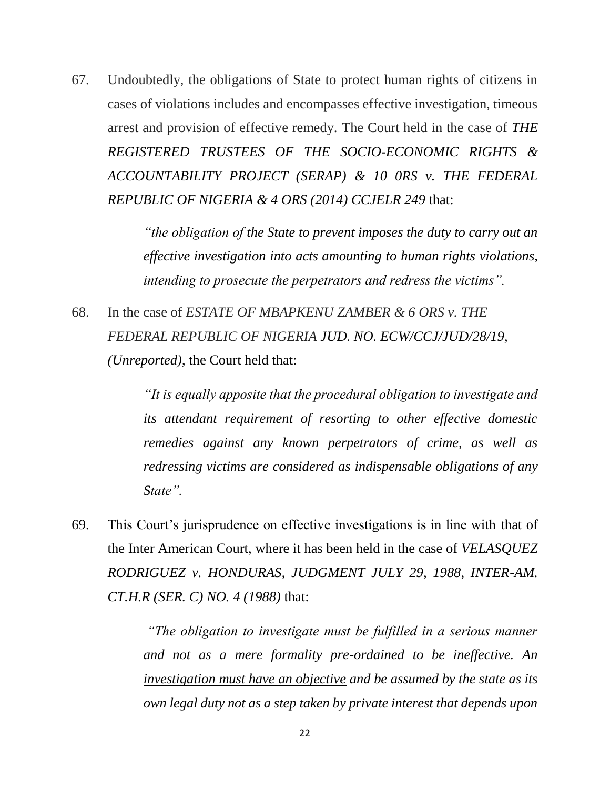67. Undoubtedly, the obligations of State to protect human rights of citizens in cases of violations includes and encompasses effective investigation, timeous arrest and provision of effective remedy. The Court held in the case of *THE REGISTERED TRUSTEES OF THE SOCIO-ECONOMIC RIGHTS & ACCOUNTABILITY PROJECT (SERAP) & 10 0RS v. THE FEDERAL REPUBLIC OF NIGERIA & 4 ORS (2014) CCJELR 249* that:

> *"the obligation of the State to prevent imposes the duty to carry out an effective investigation into acts amounting to human rights violations, intending to prosecute the perpetrators and redress the victims".*

68. In the case of *ESTATE OF MBAPKENU ZAMBER & 6 ORS v. THE FEDERAL REPUBLIC OF NIGERIA JUD. NO. ECW/CCJ/JUD/28/19, (Unreported)*, the Court held that:

> *"It is equally apposite that the procedural obligation to investigate and its attendant requirement of resorting to other effective domestic remedies against any known perpetrators of crime, as well as redressing victims are considered as indispensable obligations of any State".*

69. This Court's jurisprudence on effective investigations is in line with that of the Inter American Court, where it has been held in the case of *VELASQUEZ RODRIGUEZ v. HONDURAS, JUDGMENT JULY 29, 1988, INTER-AM. CT.H.R (SER. C) NO. 4 (1988)* that:

> *"The obligation to investigate must be fulfilled in a serious manner and not as a mere formality pre-ordained to be ineffective. An investigation must have an objective and be assumed by the state as its own legal duty not as a step taken by private interest that depends upon*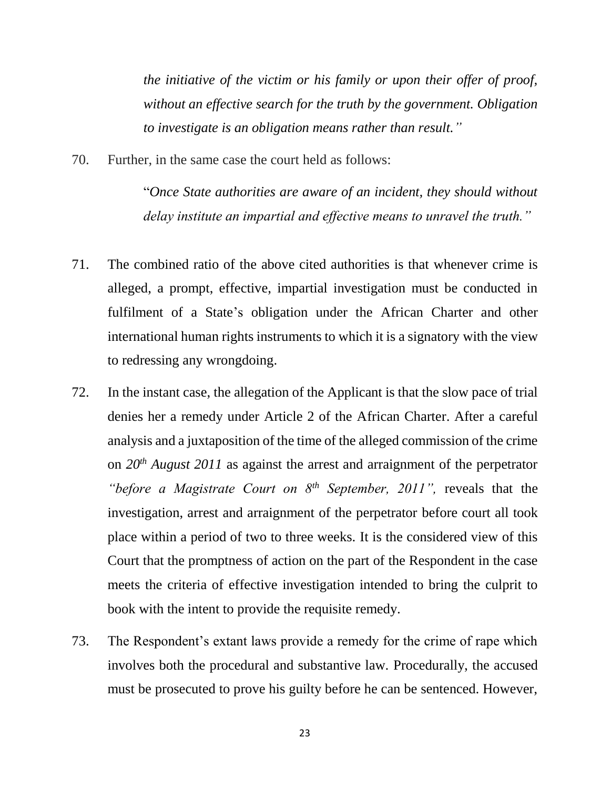*the initiative of the victim or his family or upon their offer of proof, without an effective search for the truth by the government. Obligation to investigate is an obligation means rather than result."*

70. Further, in the same case the court held as follows:

"*Once State authorities are aware of an incident, they should without delay institute an impartial and effective means to unravel the truth."*

- 71. The combined ratio of the above cited authorities is that whenever crime is alleged, a prompt, effective, impartial investigation must be conducted in fulfilment of a State's obligation under the African Charter and other international human rights instruments to which it is a signatory with the view to redressing any wrongdoing.
- 72. In the instant case, the allegation of the Applicant is that the slow pace of trial denies her a remedy under Article 2 of the African Charter. After a careful analysis and a juxtaposition of the time of the alleged commission of the crime on *20th August 2011* as against the arrest and arraignment of the perpetrator *"before a Magistrate Court on 8th September, 2011",* reveals that the investigation, arrest and arraignment of the perpetrator before court all took place within a period of two to three weeks. It is the considered view of this Court that the promptness of action on the part of the Respondent in the case meets the criteria of effective investigation intended to bring the culprit to book with the intent to provide the requisite remedy.
- 73. The Respondent's extant laws provide a remedy for the crime of rape which involves both the procedural and substantive law. Procedurally, the accused must be prosecuted to prove his guilty before he can be sentenced. However,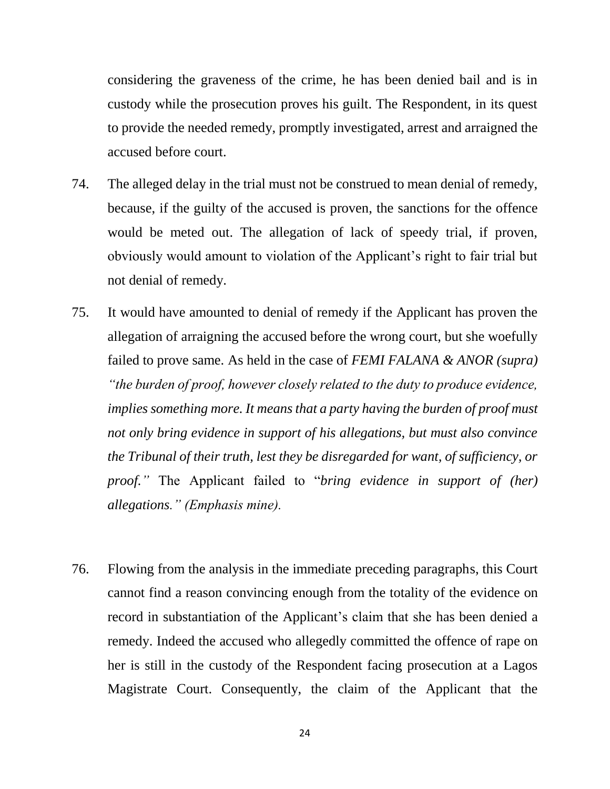considering the graveness of the crime, he has been denied bail and is in custody while the prosecution proves his guilt. The Respondent, in its quest to provide the needed remedy, promptly investigated, arrest and arraigned the accused before court.

- 74. The alleged delay in the trial must not be construed to mean denial of remedy, because, if the guilty of the accused is proven, the sanctions for the offence would be meted out. The allegation of lack of speedy trial, if proven, obviously would amount to violation of the Applicant's right to fair trial but not denial of remedy.
- 75. It would have amounted to denial of remedy if the Applicant has proven the allegation of arraigning the accused before the wrong court, but she woefully failed to prove same. As held in the case of *FEMI FALANA & ANOR (supra) "the burden of proof, however closely related to the duty to produce evidence, implies something more. It means that a party having the burden of proof must not only bring evidence in support of his allegations, but must also convince the Tribunal of their truth, lest they be disregarded for want, of sufficiency, or proof."* The Applicant failed to "*bring evidence in support of (her) allegations." (Emphasis mine).*
- 76. Flowing from the analysis in the immediate preceding paragraphs, this Court cannot find a reason convincing enough from the totality of the evidence on record in substantiation of the Applicant's claim that she has been denied a remedy. Indeed the accused who allegedly committed the offence of rape on her is still in the custody of the Respondent facing prosecution at a Lagos Magistrate Court. Consequently, the claim of the Applicant that the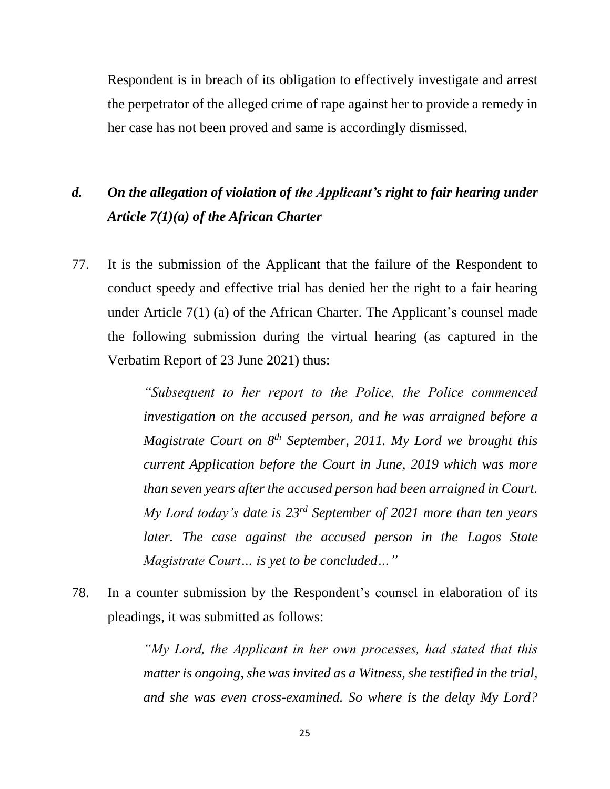Respondent is in breach of its obligation to effectively investigate and arrest the perpetrator of the alleged crime of rape against her to provide a remedy in her case has not been proved and same is accordingly dismissed.

# *d. On the allegation of violation of the Applicant's right to fair hearing under Article 7(1)(a) of the African Charter*

77. It is the submission of the Applicant that the failure of the Respondent to conduct speedy and effective trial has denied her the right to a fair hearing under Article 7(1) (a) of the African Charter. The Applicant's counsel made the following submission during the virtual hearing (as captured in the Verbatim Report of 23 June 2021) thus:

> *"Subsequent to her report to the Police, the Police commenced investigation on the accused person, and he was arraigned before a Magistrate Court on 8th September, 2011. My Lord we brought this current Application before the Court in June, 2019 which was more than seven years after the accused person had been arraigned in Court. My Lord today's date is 23rd September of 2021 more than ten years later. The case against the accused person in the Lagos State Magistrate Court… is yet to be concluded…"*

78. In a counter submission by the Respondent's counsel in elaboration of its pleadings, it was submitted as follows:

> *"My Lord, the Applicant in her own processes, had stated that this matter is ongoing, she was invited as a Witness, she testified in the trial, and she was even cross-examined. So where is the delay My Lord?*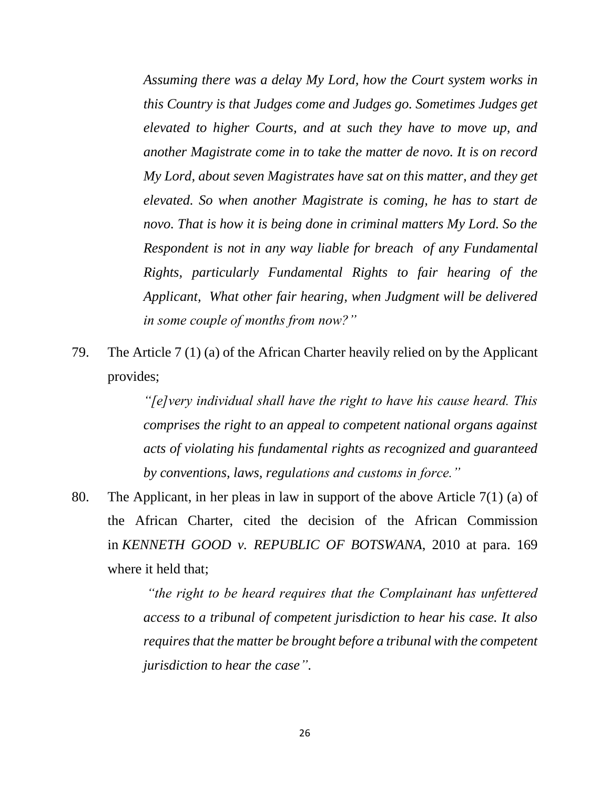*Assuming there was a delay My Lord, how the Court system works in this Country is that Judges come and Judges go. Sometimes Judges get elevated to higher Courts, and at such they have to move up, and another Magistrate come in to take the matter de novo. It is on record My Lord, about seven Magistrates have sat on this matter, and they get elevated. So when another Magistrate is coming, he has to start de novo. That is how it is being done in criminal matters My Lord. So the Respondent is not in any way liable for breach of any Fundamental Rights, particularly Fundamental Rights to fair hearing of the Applicant, What other fair hearing, when Judgment will be delivered in some couple of months from now?"*

79. The Article 7 (1) (a) of the African Charter heavily relied on by the Applicant provides;

> *"[e]very individual shall have the right to have his cause heard. This comprises the right to an appeal to competent national organs against acts of violating his fundamental rights as recognized and guaranteed by conventions, laws, regulations and customs in force."*

80. The Applicant, in her pleas in law in support of the above Article 7(1) (a) of the African Charter, cited the decision of the African Commission in *KENNETH GOOD v. REPUBLIC OF BOTSWANA*, 2010 at para. 169 where it held that;

> *"the right to be heard requires that the Complainant has unfettered access to a tribunal of competent jurisdiction to hear his case. It also requires that the matter be brought before a tribunal with the competent jurisdiction to hear the case"*.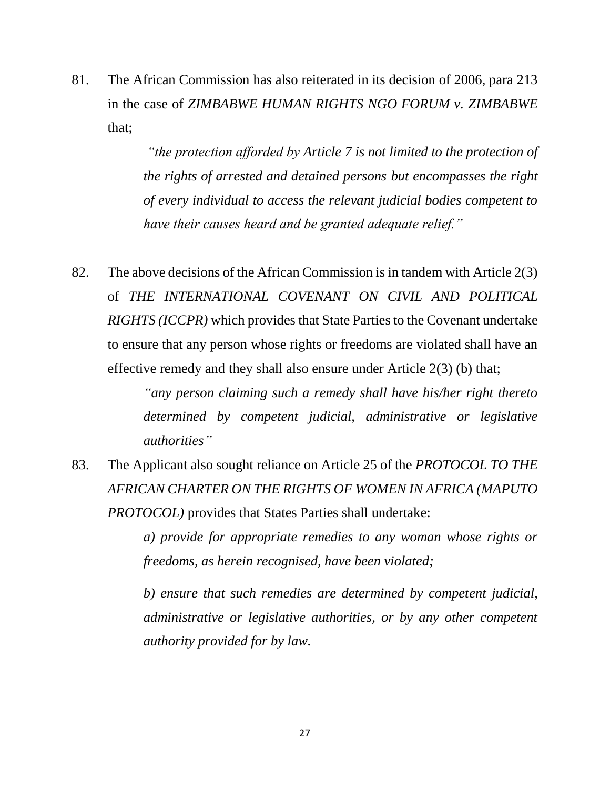81. The African Commission has also reiterated in its decision of 2006, para 213 in the case of *ZIMBABWE HUMAN RIGHTS NGO FORUM v. ZIMBABWE* that;

> *"the protection afforded by Article 7 is not limited to the protection of the rights of arrested and detained persons but encompasses the right of every individual to access the relevant judicial bodies competent to have their causes heard and be granted adequate relief."*

82. The above decisions of the African Commission is in tandem with Article 2(3) of *THE INTERNATIONAL COVENANT ON CIVIL AND POLITICAL RIGHTS (ICCPR)* which provides that State Parties to the Covenant undertake to ensure that any person whose rights or freedoms are violated shall have an effective remedy and they shall also ensure under Article 2(3) (b) that;

> *"any person claiming such a remedy shall have his/her right thereto determined by competent judicial, administrative or legislative authorities"*

83. The Applicant also sought reliance on Article 25 of the *PROTOCOL TO THE AFRICAN CHARTER ON THE RIGHTS OF WOMEN IN AFRICA (MAPUTO PROTOCOL)* provides that States Parties shall undertake:

> *a) provide for appropriate remedies to any woman whose rights or freedoms, as herein recognised, have been violated;*

> *b) ensure that such remedies are determined by competent judicial, administrative or legislative authorities, or by any other competent authority provided for by law.*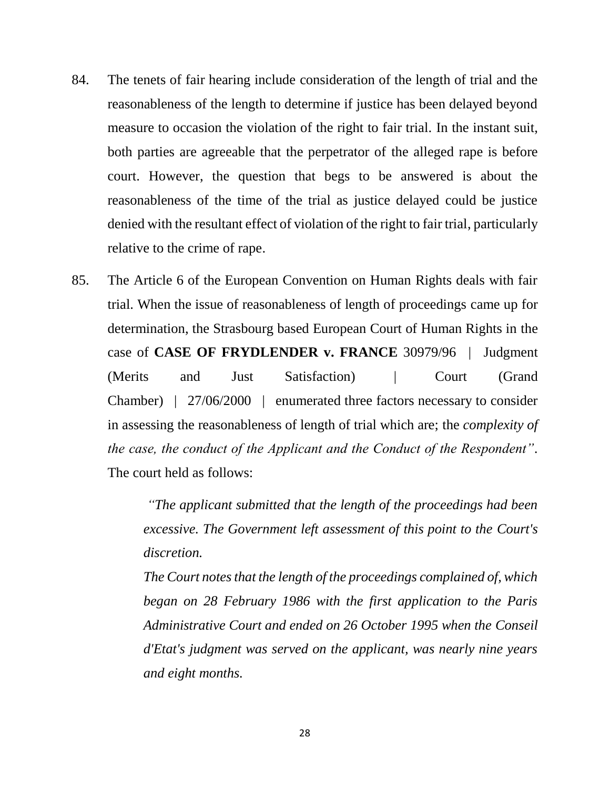- 84. The tenets of fair hearing include consideration of the length of trial and the reasonableness of the length to determine if justice has been delayed beyond measure to occasion the violation of the right to fair trial. In the instant suit, both parties are agreeable that the perpetrator of the alleged rape is before court. However, the question that begs to be answered is about the reasonableness of the time of the trial as justice delayed could be justice denied with the resultant effect of violation of the right to fair trial, particularly relative to the crime of rape.
- 85. The Article 6 of the European Convention on Human Rights deals with fair trial. When the issue of reasonableness of length of proceedings came up for determination, the Strasbourg based European Court of Human Rights in the case of **CASE OF FRYDLENDER v. FRANCE** 30979/96 | Judgment (Merits and Just Satisfaction) | Court (Grand Chamber) | 27/06/2000 | enumerated three factors necessary to consider in assessing the reasonableness of length of trial which are; the *complexity of the case, the conduct of the Applicant and the Conduct of the Respondent".* The court held as follows:

*"The applicant submitted that the length of the proceedings had been excessive. The Government left assessment of this point to the Court's discretion.*

*The Court notes that the length of the proceedings complained of, which began on 28 February 1986 with the first application to the Paris Administrative Court and ended on 26 October 1995 when the Conseil d'Etat's judgment was served on the applicant, was nearly nine years and eight months.*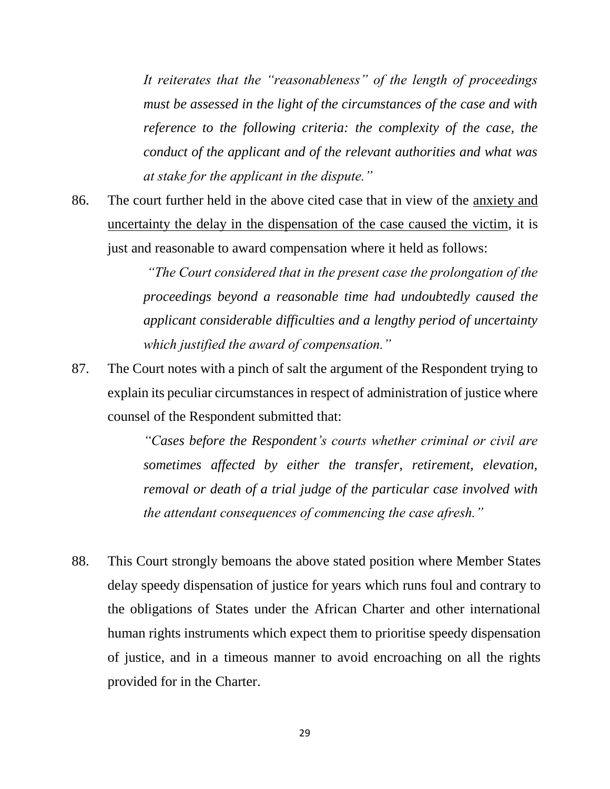*It reiterates that the "reasonableness" of the length of proceedings must be assessed in the light of the circumstances of the case and with reference to the following criteria: the complexity of the case, the conduct of the applicant and of the relevant authorities and what was at stake for the applicant in the dispute."* 

86. The court further held in the above cited case that in view of the anxiety and uncertainty the delay in the dispensation of the case caused the victim, it is just and reasonable to award compensation where it held as follows:

> *"The Court considered that in the present case the prolongation of the proceedings beyond a reasonable time had undoubtedly caused the applicant considerable difficulties and a lengthy period of uncertainty which justified the award of compensation."*

87. The Court notes with a pinch of salt the argument of the Respondent trying to explain its peculiar circumstances in respect of administration of justice where counsel of the Respondent submitted that:

> *"Cases before the Respondent's courts whether criminal or civil are sometimes affected by either the transfer, retirement, elevation, removal or death of a trial judge of the particular case involved with the attendant consequences of commencing the case afresh."*

88. This Court strongly bemoans the above stated position where Member States delay speedy dispensation of justice for years which runs foul and contrary to the obligations of States under the African Charter and other international human rights instruments which expect them to prioritise speedy dispensation of justice, and in a timeous manner to avoid encroaching on all the rights provided for in the Charter.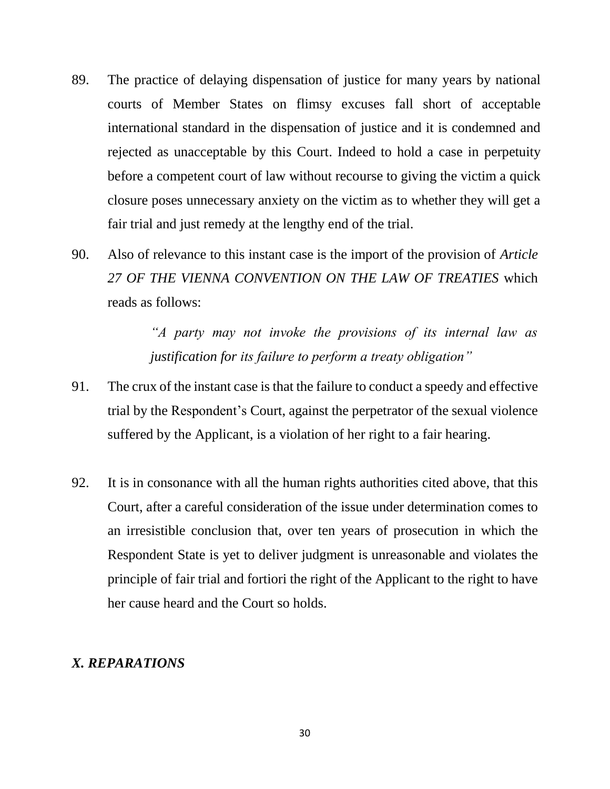- 89. The practice of delaying dispensation of justice for many years by national courts of Member States on flimsy excuses fall short of acceptable international standard in the dispensation of justice and it is condemned and rejected as unacceptable by this Court. Indeed to hold a case in perpetuity before a competent court of law without recourse to giving the victim a quick closure poses unnecessary anxiety on the victim as to whether they will get a fair trial and just remedy at the lengthy end of the trial.
- 90. Also of relevance to this instant case is the import of the provision of *Article 27 OF THE VIENNA CONVENTION ON THE LAW OF TREATIES* which reads as follows:

*"A party may not invoke the provisions of its internal law as justification for its failure to perform a treaty obligation"*

- 91. The crux of the instant case is that the failure to conduct a speedy and effective trial by the Respondent's Court, against the perpetrator of the sexual violence suffered by the Applicant, is a violation of her right to a fair hearing.
- 92. It is in consonance with all the human rights authorities cited above, that this Court, after a careful consideration of the issue under determination comes to an irresistible conclusion that, over ten years of prosecution in which the Respondent State is yet to deliver judgment is unreasonable and violates the principle of fair trial and fortiori the right of the Applicant to the right to have her cause heard and the Court so holds.

#### *X. REPARATIONS*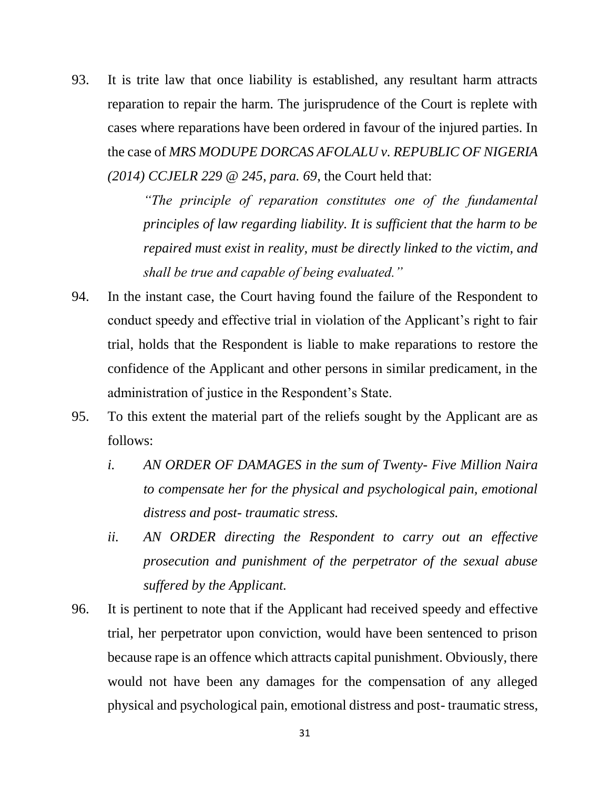93. It is trite law that once liability is established, any resultant harm attracts reparation to repair the harm. The jurisprudence of the Court is replete with cases where reparations have been ordered in favour of the injured parties. In the case of *MRS MODUPE DORCAS AFOLALU v. REPUBLIC OF NIGERIA (2014) CCJELR 229 @ 245, para. 69*, the Court held that:

> *"The principle of reparation constitutes one of the fundamental principles of law regarding liability. It is sufficient that the harm to be repaired must exist in reality, must be directly linked to the victim, and shall be true and capable of being evaluated."*

- 94. In the instant case, the Court having found the failure of the Respondent to conduct speedy and effective trial in violation of the Applicant's right to fair trial, holds that the Respondent is liable to make reparations to restore the confidence of the Applicant and other persons in similar predicament, in the administration of justice in the Respondent's State.
- 95. To this extent the material part of the reliefs sought by the Applicant are as follows:
	- *i. AN ORDER OF DAMAGES in the sum of Twenty- Five Million Naira to compensate her for the physical and psychological pain, emotional distress and post- traumatic stress.*
	- *ii. AN ORDER directing the Respondent to carry out an effective prosecution and punishment of the perpetrator of the sexual abuse suffered by the Applicant.*
- 96. It is pertinent to note that if the Applicant had received speedy and effective trial, her perpetrator upon conviction, would have been sentenced to prison because rape is an offence which attracts capital punishment. Obviously, there would not have been any damages for the compensation of any alleged physical and psychological pain, emotional distress and post- traumatic stress,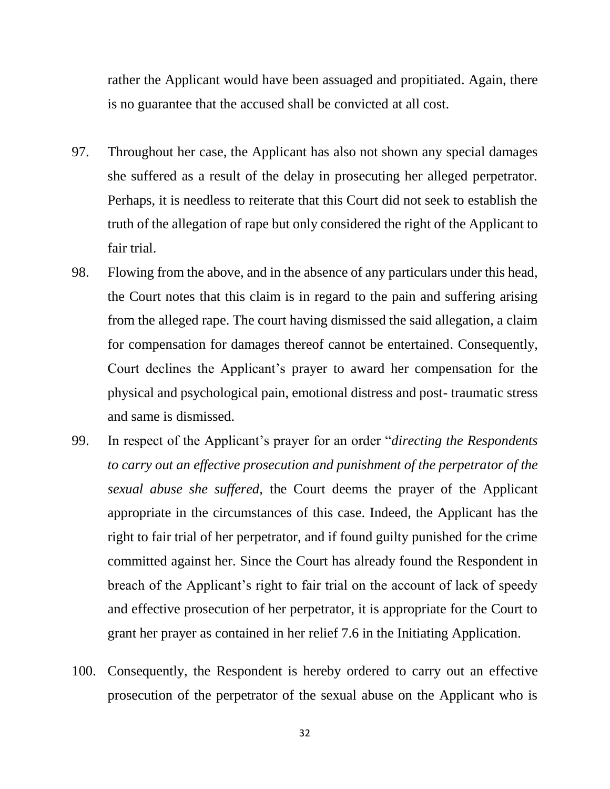rather the Applicant would have been assuaged and propitiated. Again, there is no guarantee that the accused shall be convicted at all cost.

- 97. Throughout her case, the Applicant has also not shown any special damages she suffered as a result of the delay in prosecuting her alleged perpetrator. Perhaps, it is needless to reiterate that this Court did not seek to establish the truth of the allegation of rape but only considered the right of the Applicant to fair trial.
- 98. Flowing from the above, and in the absence of any particulars under this head, the Court notes that this claim is in regard to the pain and suffering arising from the alleged rape. The court having dismissed the said allegation, a claim for compensation for damages thereof cannot be entertained. Consequently, Court declines the Applicant's prayer to award her compensation for the physical and psychological pain, emotional distress and post- traumatic stress and same is dismissed.
- 99. In respect of the Applicant's prayer for an order "*directing the Respondents to carry out an effective prosecution and punishment of the perpetrator of the sexual abuse she suffered,* the Court deems the prayer of the Applicant appropriate in the circumstances of this case. Indeed, the Applicant has the right to fair trial of her perpetrator, and if found guilty punished for the crime committed against her. Since the Court has already found the Respondent in breach of the Applicant's right to fair trial on the account of lack of speedy and effective prosecution of her perpetrator, it is appropriate for the Court to grant her prayer as contained in her relief 7.6 in the Initiating Application.
- 100. Consequently, the Respondent is hereby ordered to carry out an effective prosecution of the perpetrator of the sexual abuse on the Applicant who is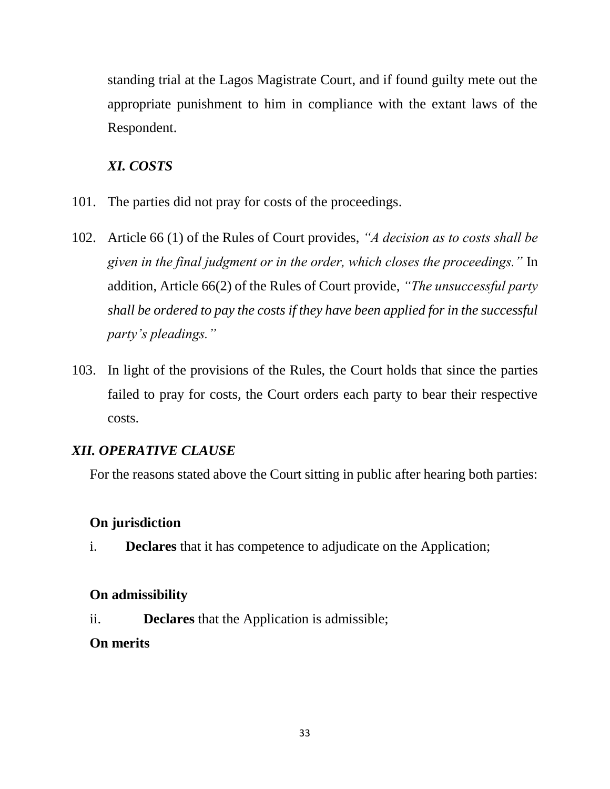standing trial at the Lagos Magistrate Court, and if found guilty mete out the appropriate punishment to him in compliance with the extant laws of the Respondent.

## *XI. COSTS*

- 101. The parties did not pray for costs of the proceedings.
- 102. Article 66 (1) of the Rules of Court provides, *"A decision as to costs shall be given in the final judgment or in the order, which closes the proceedings."* In addition, Article 66(2) of the Rules of Court provide, *"The unsuccessful party shall be ordered to pay the costs if they have been applied for in the successful party's pleadings."*
- 103. In light of the provisions of the Rules, the Court holds that since the parties failed to pray for costs, the Court orders each party to bear their respective costs.

## *XII. OPERATIVE CLAUSE*

For the reasons stated above the Court sitting in public after hearing both parties:

## **On jurisdiction**

i. **Declares** that it has competence to adjudicate on the Application;

## **On admissibility**

ii. **Declares** that the Application is admissible;

## **On merits**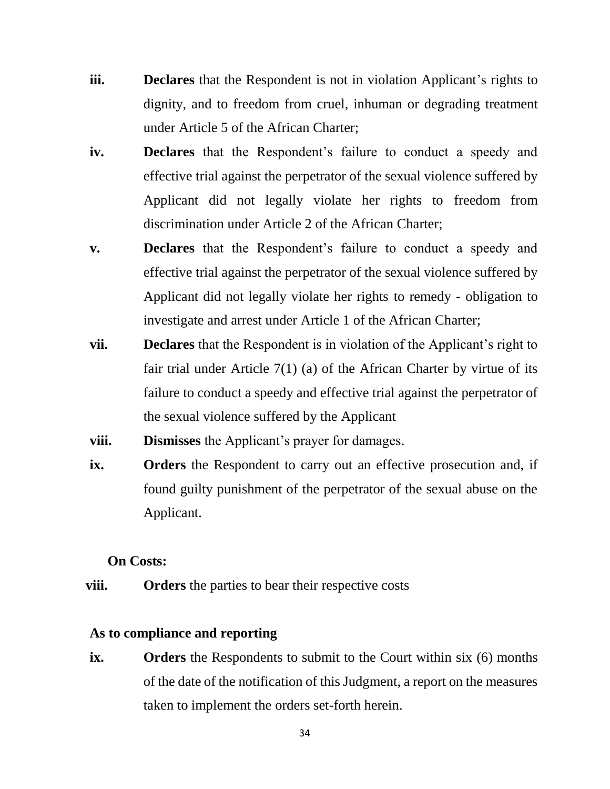- **iii. Declares** that the Respondent is not in violation Applicant's rights to dignity, and to freedom from cruel, inhuman or degrading treatment under Article 5 of the African Charter;
- **iv. Declares** that the Respondent's failure to conduct a speedy and effective trial against the perpetrator of the sexual violence suffered by Applicant did not legally violate her rights to freedom from discrimination under Article 2 of the African Charter;
- **v. Declares** that the Respondent's failure to conduct a speedy and effective trial against the perpetrator of the sexual violence suffered by Applicant did not legally violate her rights to remedy - obligation to investigate and arrest under Article 1 of the African Charter;
- **vii. Declares** that the Respondent is in violation of the Applicant's right to fair trial under Article 7(1) (a) of the African Charter by virtue of its failure to conduct a speedy and effective trial against the perpetrator of the sexual violence suffered by the Applicant
- **viii. Dismisses** the Applicant's prayer for damages.
- **ix.** Orders the Respondent to carry out an effective prosecution and, if found guilty punishment of the perpetrator of the sexual abuse on the Applicant.

#### **On Costs:**

 **viii. Orders** the parties to bear their respective costs

#### **As to compliance and reporting**

**ix. Orders** the Respondents to submit to the Court within six (6) months of the date of the notification of this Judgment, a report on the measures taken to implement the orders set-forth herein.